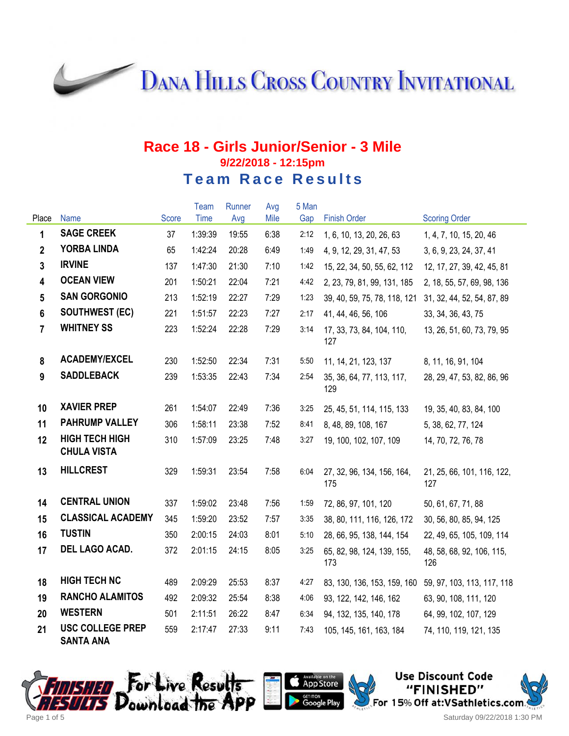**DANA HILLS CROSS COUNTRY INVITATIONAL** 

#### **Race 18 - Girls Junior/Senior - 3 Mile 9/22/2018 - 12:15pm Team Race Results**

|                         |                                             |       | Team    | Runner | Avg  | 5 Man |                                   |                                   |
|-------------------------|---------------------------------------------|-------|---------|--------|------|-------|-----------------------------------|-----------------------------------|
| Place                   | Name                                        | Score | Time    | Avg    | Mile | Gap   | <b>Finish Order</b>               | <b>Scoring Order</b>              |
| 1                       | <b>SAGE CREEK</b>                           | 37    | 1:39:39 | 19:55  | 6:38 | 2:12  | 1, 6, 10, 13, 20, 26, 63          | 1, 4, 7, 10, 15, 20, 46           |
| $\mathbf{2}$            | <b>YORBA LINDA</b>                          | 65    | 1:42:24 | 20:28  | 6:49 | 1:49  | 4, 9, 12, 29, 31, 47, 53          | 3, 6, 9, 23, 24, 37, 41           |
| $\overline{3}$          | <b>IRVINE</b>                               | 137   | 1:47:30 | 21:30  | 7:10 | 1:42  | 15, 22, 34, 50, 55, 62, 112       | 12, 17, 27, 39, 42, 45, 81        |
| $\overline{\mathbf{4}}$ | <b>OCEAN VIEW</b>                           | 201   | 1:50:21 | 22:04  | 7:21 | 4:42  | 2, 23, 79, 81, 99, 131, 185       | 2, 18, 55, 57, 69, 98, 136        |
| $5\phantom{.0}$         | <b>SAN GORGONIO</b>                         | 213   | 1:52:19 | 22:27  | 7:29 | 1:23  | 39, 40, 59, 75, 78, 118, 121      | 31, 32, 44, 52, 54, 87, 89        |
| 6                       | <b>SOUTHWEST (EC)</b>                       | 221   | 1:51:57 | 22:23  | 7:27 | 2:17  | 41, 44, 46, 56, 106               | 33, 34, 36, 43, 75                |
| $\overline{7}$          | <b>WHITNEY SS</b>                           | 223   | 1:52:24 | 22:28  | 7:29 | 3:14  | 17, 33, 73, 84, 104, 110,<br>127  | 13, 26, 51, 60, 73, 79, 95        |
| 8                       | <b>ACADEMY/EXCEL</b>                        | 230   | 1:52:50 | 22:34  | 7:31 | 5:50  | 11, 14, 21, 123, 137              | 8, 11, 16, 91, 104                |
| 9                       | <b>SADDLEBACK</b>                           | 239   | 1:53:35 | 22:43  | 7:34 | 2:54  | 35, 36, 64, 77, 113, 117,<br>129  | 28, 29, 47, 53, 82, 86, 96        |
| 10                      | <b>XAVIER PREP</b>                          | 261   | 1:54:07 | 22:49  | 7:36 | 3:25  | 25, 45, 51, 114, 115, 133         | 19, 35, 40, 83, 84, 100           |
| 11                      | <b>PAHRUMP VALLEY</b>                       | 306   | 1:58:11 | 23:38  | 7:52 | 8:41  | 8, 48, 89, 108, 167               | 5, 38, 62, 77, 124                |
| 12                      | <b>HIGH TECH HIGH</b><br><b>CHULA VISTA</b> | 310   | 1:57:09 | 23:25  | 7:48 | 3:27  | 19, 100, 102, 107, 109            | 14, 70, 72, 76, 78                |
| 13                      | <b>HILLCREST</b>                            | 329   | 1:59:31 | 23:54  | 7:58 | 6:04  | 27, 32, 96, 134, 156, 164,<br>175 | 21, 25, 66, 101, 116, 122,<br>127 |
| 14                      | <b>CENTRAL UNION</b>                        | 337   | 1:59:02 | 23:48  | 7:56 | 1:59  | 72, 86, 97, 101, 120              | 50, 61, 67, 71, 88                |
| 15                      | <b>CLASSICAL ACADEMY</b>                    | 345   | 1:59:20 | 23:52  | 7:57 | 3:35  | 38, 80, 111, 116, 126, 172        | 30, 56, 80, 85, 94, 125           |
| 16                      | <b>TUSTIN</b>                               | 350   | 2:00:15 | 24:03  | 8:01 | 5:10  | 28, 66, 95, 138, 144, 154         | 22, 49, 65, 105, 109, 114         |
| 17                      | DEL LAGO ACAD.                              | 372   | 2:01:15 | 24:15  | 8:05 | 3:25  | 65, 82, 98, 124, 139, 155,<br>173 | 48, 58, 68, 92, 106, 115,<br>126  |
| 18                      | <b>HIGH TECH NC</b>                         | 489   | 2:09:29 | 25:53  | 8:37 | 4:27  | 83, 130, 136, 153, 159, 160       | 59, 97, 103, 113, 117, 118        |
| 19                      | <b>RANCHO ALAMITOS</b>                      | 492   | 2:09:32 | 25:54  | 8:38 | 4:06  | 93, 122, 142, 146, 162            | 63, 90, 108, 111, 120             |
| 20                      | <b>WESTERN</b>                              | 501   | 2:11:51 | 26:22  | 8:47 | 6:34  | 94, 132, 135, 140, 178            | 64, 99, 102, 107, 129             |
| 21                      | <b>USC COLLEGE PREP</b><br><b>SANTA ANA</b> | 559   | 2:17:47 | 27:33  | 9:11 | 7:43  | 105, 145, 161, 163, 184           | 74, 110, 119, 121, 135            |





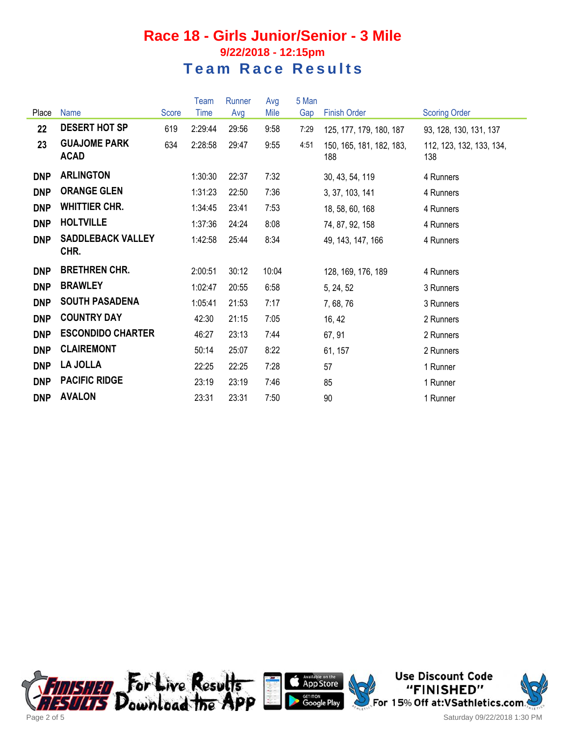### **Race 18 - Girls Junior/Senior - 3 Mile 9/22/2018 - 12:15pm Team Race Results**

|            |                                    |       | Team    | Runner | Avg   | 5 Man |                                 |                                 |
|------------|------------------------------------|-------|---------|--------|-------|-------|---------------------------------|---------------------------------|
| Place      | <b>Name</b>                        | Score | Time    | Avg    | Mile  | Gap   | <b>Finish Order</b>             | <b>Scoring Order</b>            |
| 22         | <b>DESERT HOT SP</b>               | 619   | 2:29:44 | 29:56  | 9:58  | 7:29  | 125, 177, 179, 180, 187         | 93, 128, 130, 131, 137          |
| 23         | <b>GUAJOME PARK</b><br><b>ACAD</b> | 634   | 2:28:58 | 29:47  | 9:55  | 4:51  | 150, 165, 181, 182, 183,<br>188 | 112, 123, 132, 133, 134,<br>138 |
| <b>DNP</b> | <b>ARLINGTON</b>                   |       | 1:30:30 | 22:37  | 7:32  |       | 30, 43, 54, 119                 | 4 Runners                       |
| <b>DNP</b> | <b>ORANGE GLEN</b>                 |       | 1:31:23 | 22:50  | 7:36  |       | 3, 37, 103, 141                 | 4 Runners                       |
| <b>DNP</b> | <b>WHITTIER CHR.</b>               |       | 1:34:45 | 23:41  | 7:53  |       | 18, 58, 60, 168                 | 4 Runners                       |
| <b>DNP</b> | <b>HOLTVILLE</b>                   |       | 1:37:36 | 24:24  | 8:08  |       | 74, 87, 92, 158                 | 4 Runners                       |
| <b>DNP</b> | <b>SADDLEBACK VALLEY</b><br>CHR.   |       | 1:42:58 | 25:44  | 8:34  |       | 49, 143, 147, 166               | 4 Runners                       |
| <b>DNP</b> | <b>BRETHREN CHR.</b>               |       | 2:00:51 | 30:12  | 10:04 |       | 128, 169, 176, 189              | 4 Runners                       |
| <b>DNP</b> | <b>BRAWLEY</b>                     |       | 1:02:47 | 20:55  | 6:58  |       | 5, 24, 52                       | 3 Runners                       |
| <b>DNP</b> | <b>SOUTH PASADENA</b>              |       | 1:05:41 | 21:53  | 7:17  |       | 7,68,76                         | 3 Runners                       |
| <b>DNP</b> | <b>COUNTRY DAY</b>                 |       | 42:30   | 21:15  | 7:05  |       | 16, 42                          | 2 Runners                       |
| <b>DNP</b> | <b>ESCONDIDO CHARTER</b>           |       | 46:27   | 23:13  | 7:44  |       | 67, 91                          | 2 Runners                       |
| <b>DNP</b> | <b>CLAIREMONT</b>                  |       | 50:14   | 25:07  | 8:22  |       | 61, 157                         | 2 Runners                       |
| <b>DNP</b> | <b>LA JOLLA</b>                    |       | 22:25   | 22:25  | 7:28  |       | 57                              | 1 Runner                        |
| <b>DNP</b> | <b>PACIFIC RIDGE</b>               |       | 23:19   | 23:19  | 7:46  |       | 85                              | 1 Runner                        |
| <b>DNP</b> | <b>AVALON</b>                      |       | 23:31   | 23:31  | 7:50  |       | 90                              | 1 Runner                        |







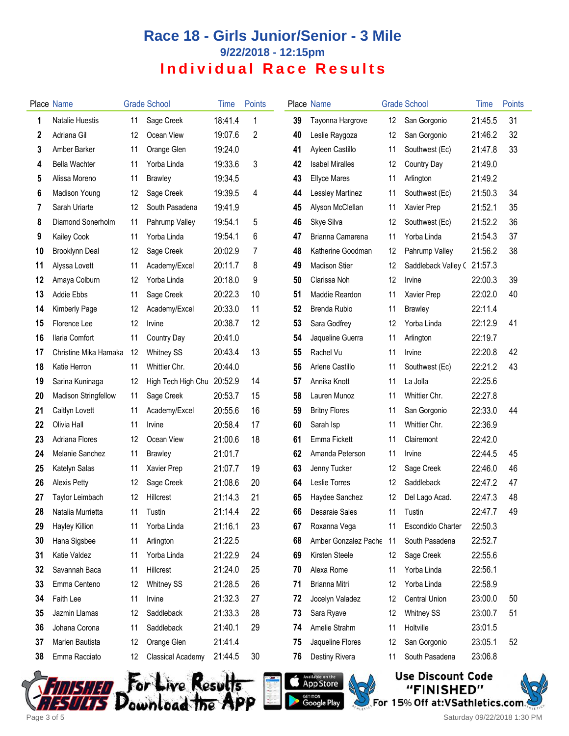# **Race 18 - Girls Junior/Senior - 3 Mile 9/22/2018 - 12:15pm Individual Race Results**

|    | <b>Place Name</b>     |    | <b>Grade School</b>      | <b>Time</b> | <b>Points</b> |    | Place Name             |    | <b>Grade School</b>      | Time    | Points |
|----|-----------------------|----|--------------------------|-------------|---------------|----|------------------------|----|--------------------------|---------|--------|
| 1  | Natalie Huestis       | 11 | Sage Creek               | 18:41.4     | 1             | 39 | Tayonna Hargrove       | 12 | San Gorgonio             | 21:45.5 | 31     |
| 2  | Adriana Gil           | 12 | Ocean View               | 19:07.6     | 2             | 40 | Leslie Raygoza         | 12 | San Gorgonio             | 21:46.2 | 32     |
| 3  | Amber Barker          | 11 | Orange Glen              | 19:24.0     |               | 41 | Ayleen Castillo        | 11 | Southwest (Ec)           | 21:47.8 | 33     |
| 4  | <b>Bella Wachter</b>  | 11 | Yorba Linda              | 19:33.6     | 3             | 42 | <b>Isabel Miralles</b> | 12 | Country Day              | 21:49.0 |        |
| 5  | Alissa Moreno         | 11 | <b>Brawley</b>           | 19:34.5     |               | 43 | <b>Ellyce Mares</b>    | 11 | Arlington                | 21:49.2 |        |
| 6  | Madison Young         | 12 | Sage Creek               | 19:39.5     | 4             | 44 | Lessley Martinez       | 11 | Southwest (Ec)           | 21:50.3 | 34     |
| 7  | Sarah Uriarte         | 12 | South Pasadena           | 19:41.9     |               | 45 | Alyson McClellan       | 11 | Xavier Prep              | 21:52.1 | 35     |
| 8  | Diamond Sonerholm     | 11 | Pahrump Valley           | 19:54.1     | 5             | 46 | Skye Silva             | 12 | Southwest (Ec)           | 21:52.2 | 36     |
| 9  | Kailey Cook           | 11 | Yorba Linda              | 19:54.1     | 6             | 47 | Brianna Camarena       | 11 | Yorba Linda              | 21:54.3 | 37     |
| 10 | <b>Brooklynn Deal</b> | 12 | Sage Creek               | 20:02.9     | 7             | 48 | Katherine Goodman      | 12 | Pahrump Valley           | 21:56.2 | 38     |
| 11 | Alyssa Lovett         | 11 | Academy/Excel            | 20:11.7     | 8             | 49 | <b>Madison Stier</b>   | 12 | Saddleback Valley C      | 21:57.3 |        |
| 12 | Amaya Colburn         | 12 | Yorba Linda              | 20:18.0     | 9             | 50 | Clarissa Noh           | 12 | Irvine                   | 22:00.3 | 39     |
| 13 | <b>Addie Ebbs</b>     | 11 | Sage Creek               | 20:22.3     | 10            | 51 | Maddie Reardon         | 11 | Xavier Prep              | 22:02.0 | 40     |
| 14 | Kimberly Page         | 12 | Academy/Excel            | 20:33.0     | 11            | 52 | <b>Brenda Rubio</b>    | 11 | <b>Brawley</b>           | 22:11.4 |        |
| 15 | Florence Lee          | 12 | Irvine                   | 20:38.7     | 12            | 53 | Sara Godfrey           | 12 | Yorba Linda              | 22:12.9 | 41     |
| 16 | Ilaria Comfort        | 11 | Country Day              | 20:41.0     |               | 54 | Jaqueline Guerra       | 11 | Arlington                | 22:19.7 |        |
| 17 | Christine Mika Hamaka | 12 | <b>Whitney SS</b>        | 20:43.4     | 13            | 55 | Rachel Vu              | 11 | Irvine                   | 22:20.8 | 42     |
| 18 | Katie Herron          | 11 | Whittier Chr.            | 20:44.0     |               | 56 | Arlene Castillo        | 11 | Southwest (Ec)           | 22:21.2 | 43     |
| 19 | Sarina Kuninaga       | 12 | High Tech High Chu       | 20:52.9     | 14            | 57 | Annika Knott           | 11 | La Jolla                 | 22:25.6 |        |
| 20 | Madison Stringfellow  | 11 | Sage Creek               | 20:53.7     | 15            | 58 | Lauren Munoz           | 11 | Whittier Chr.            | 22:27.8 |        |
| 21 | Caitlyn Lovett        | 11 | Academy/Excel            | 20:55.6     | 16            | 59 | <b>Britny Flores</b>   | 11 | San Gorgonio             | 22:33.0 | 44     |
| 22 | Olivia Hall           | 11 | Irvine                   | 20:58.4     | 17            | 60 | Sarah Isp              | 11 | Whittier Chr.            | 22:36.9 |        |
| 23 | Adriana Flores        | 12 | Ocean View               | 21:00.6     | 18            | 61 | Emma Fickett           | 11 | Clairemont               | 22:42.0 |        |
| 24 | Melanie Sanchez       | 11 | <b>Brawley</b>           | 21:01.7     |               | 62 | Amanda Peterson        | 11 | Irvine                   | 22:44.5 | 45     |
| 25 | Katelyn Salas         | 11 | Xavier Prep              | 21:07.7     | 19            | 63 | Jenny Tucker           | 12 | Sage Creek               | 22:46.0 | 46     |
| 26 | <b>Alexis Petty</b>   | 12 | Sage Creek               | 21:08.6     | 20            | 64 | Leslie Torres          | 12 | Saddleback               | 22:47.2 | 47     |
| 27 | Taylor Leimbach       | 12 | Hillcrest                | 21:14.3     | 21            | 65 | Haydee Sanchez         | 12 | Del Lago Acad.           | 22:47.3 | 48     |
| 28 | Natalia Murrietta     | 11 | Tustin                   | 21:14.4     | 22            | 66 | Desaraie Sales         |    | 11 Tustin                | 22:47.7 | 49     |
| 29 | Hayley Killion        | 11 | Yorba Linda              | 21:16.1     | 23            | 67 | Roxanna Vega           | 11 | <b>Escondido Charter</b> | 22:50.3 |        |
| 30 | Hana Sigsbee          | 11 | Arlington                | 21:22.5     |               | 68 | Amber Gonzalez Pache   | 11 | South Pasadena           | 22:52.7 |        |
| 31 | Katie Valdez          | 11 | Yorba Linda              | 21:22.9     | 24            | 69 | Kirsten Steele         | 12 | Sage Creek               | 22:55.6 |        |
| 32 | Savannah Baca         | 11 | Hillcrest                | 21:24.0     | 25            | 70 | Alexa Rome             | 11 | Yorba Linda              | 22:56.1 |        |
| 33 | Emma Centeno          | 12 | <b>Whitney SS</b>        | 21:28.5     | 26            | 71 | Brianna Mitri          | 12 | Yorba Linda              | 22:58.9 |        |
| 34 | Faith Lee             | 11 | Irvine                   | 21:32.3     | 27            | 72 | Jocelyn Valadez        | 12 | <b>Central Union</b>     | 23:00.0 | 50     |
| 35 | Jazmin Llamas         | 12 | Saddleback               | 21:33.3     | 28            | 73 | Sara Ryave             | 12 | <b>Whitney SS</b>        | 23:00.7 | 51     |
| 36 | Johana Corona         | 11 | Saddleback               | 21:40.1     | 29            | 74 | Amelie Strahm          | 11 | Holtville                | 23:01.5 |        |
| 37 | Marlen Bautista       | 12 | Orange Glen              | 21:41.4     |               | 75 | Jaqueline Flores       | 12 | San Gorgonio             | 23:05.1 | 52     |
| 38 | Emma Racciato         | 12 | <b>Classical Academy</b> | 21:44.5     | 30            | 76 | Destiny Rivera         | 11 | South Pasadena           | 23:06.8 |        |
|    |                       |    |                          |             |               |    |                        |    |                          |         |        |







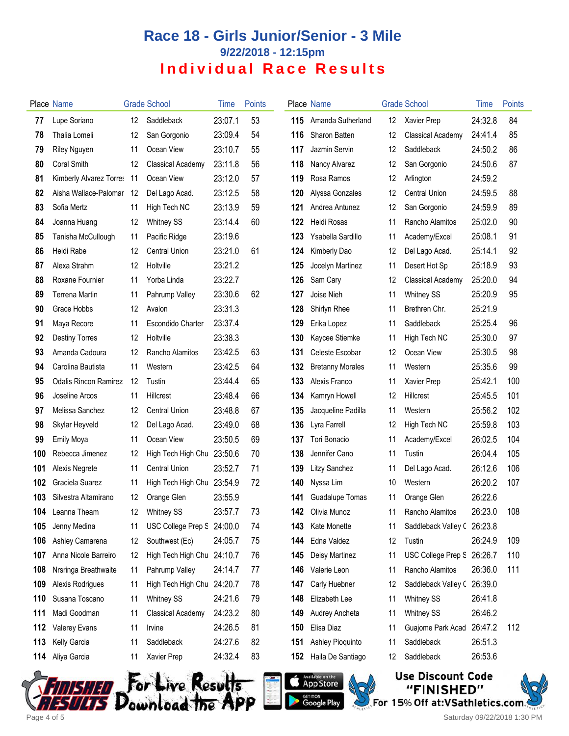## **Race 18 - Girls Junior/Senior - 3 Mile 9/22/2018 - 12:15pm Individual Race Results**

|     | Place Name                   |    | <b>Grade School</b>        | <b>l</b> ime | <b>Points</b> |     | Place Name              |    | <b>Grade School</b>        | Time    | Points |
|-----|------------------------------|----|----------------------------|--------------|---------------|-----|-------------------------|----|----------------------------|---------|--------|
| 77  | Lupe Soriano                 | 12 | Saddleback                 | 23:07.1      | 53            | 115 | Amanda Sutherland       | 12 | <b>Xavier Prep</b>         | 24:32.8 | 84     |
| 78  | Thalia Lomeli                | 12 | San Gorgonio               | 23:09.4      | 54            | 116 | Sharon Batten           | 12 | <b>Classical Academy</b>   | 24:41.4 | 85     |
| 79  | Riley Nguyen                 | 11 | Ocean View                 | 23:10.7      | 55            | 117 | Jazmin Servin           | 12 | Saddleback                 | 24:50.2 | 86     |
| 80  | <b>Coral Smith</b>           | 12 | <b>Classical Academy</b>   | 23:11.8      | 56            | 118 | Nancy Alvarez           | 12 | San Gorgonio               | 24:50.6 | 87     |
| 81  | Kimberly Alvarez Torres 11   |    | Ocean View                 | 23:12.0      | 57            | 119 | Rosa Ramos              | 12 | Arlington                  | 24:59.2 |        |
| 82  | Aisha Wallace-Palomar 12     |    | Del Lago Acad.             | 23:12.5      | 58            | 120 | Alyssa Gonzales         | 12 | <b>Central Union</b>       | 24:59.5 | 88     |
| 83  | Sofia Mertz                  | 11 | High Tech NC               | 23:13.9      | 59            | 121 | Andrea Antunez          | 12 | San Gorgonio               | 24:59.9 | 89     |
| 84  | Joanna Huang                 | 12 | <b>Whitney SS</b>          | 23:14.4      | 60            | 122 | <b>Heidi Rosas</b>      | 11 | Rancho Alamitos            | 25:02.0 | 90     |
| 85  | Tanisha McCullough           | 11 | Pacific Ridge              | 23:19.6      |               | 123 | Ysabella Sardillo       | 11 | Academy/Excel              | 25:08.1 | 91     |
| 86  | Heidi Rabe                   | 12 | <b>Central Union</b>       | 23:21.0      | 61            | 124 | Kimberly Dao            | 12 | Del Lago Acad.             | 25:14.1 | 92     |
| 87  | Alexa Strahm                 | 12 | Holtville                  | 23:21.2      |               | 125 | Jocelyn Martinez        | 11 | Desert Hot Sp              | 25:18.9 | 93     |
| 88  | Roxane Fournier              | 11 | Yorba Linda                | 23:22.7      |               | 126 | Sam Cary                | 12 | Classical Academy          | 25:20.0 | 94     |
| 89  | <b>Terrena Martin</b>        | 11 | Pahrump Valley             | 23:30.6      | 62            | 127 | Joise Nieh              | 11 | <b>Whitney SS</b>          | 25:20.9 | 95     |
| 90  | Grace Hobbs                  | 12 | Avalon                     | 23:31.3      |               | 128 | Shirlyn Rhee            | 11 | Brethren Chr.              | 25:21.9 |        |
| 91  | Maya Recore                  | 11 | <b>Escondido Charter</b>   | 23:37.4      |               | 129 | Erika Lopez             | 11 | Saddleback                 | 25:25.4 | 96     |
| 92  | <b>Destiny Torres</b>        | 12 | Holtville                  | 23:38.3      |               | 130 | Kaycee Stiemke          | 11 | High Tech NC               | 25:30.0 | 97     |
| 93  | Amanda Cadoura               | 12 | Rancho Alamitos            | 23:42.5      | 63            | 131 | Celeste Escobar         | 12 | Ocean View                 | 25:30.5 | 98     |
| 94  | Carolina Bautista            | 11 | Western                    | 23:42.5      | 64            | 132 | <b>Bretanny Morales</b> | 11 | Western                    | 25:35.6 | 99     |
| 95  | <b>Odalis Rincon Ramirez</b> | 12 | Tustin                     | 23:44.4      | 65            | 133 | Alexis Franco           | 11 | Xavier Prep                | 25:42.1 | 100    |
| 96  | Joseline Arcos               | 11 | Hillcrest                  | 23:48.4      | 66            | 134 | Kamryn Howell           | 12 | Hillcrest                  | 25:45.5 | 101    |
| 97  | Melissa Sanchez              | 12 | <b>Central Union</b>       | 23:48.8      | 67            | 135 | Jacqueline Padilla      | 11 | Western                    | 25:56.2 | 102    |
| 98  | Skylar Heyveld               | 12 | Del Lago Acad.             | 23:49.0      | 68            | 136 | Lyra Farrell            | 12 | High Tech NC               | 25:59.8 | 103    |
| 99  | Emily Moya                   | 11 | Ocean View                 | 23:50.5      | 69            | 137 | Tori Bonacio            | 11 | Academy/Excel              | 26:02.5 | 104    |
| 100 | Rebecca Jimenez              | 12 | High Tech High Chu         | 23:50.6      | 70            | 138 | Jennifer Cano           | 11 | Tustin                     | 26:04.4 | 105    |
| 101 | Alexis Negrete               | 11 | <b>Central Union</b>       | 23:52.7      | 71            | 139 | Litzy Sanchez           | 11 | Del Lago Acad.             | 26:12.6 | 106    |
| 102 | Graciela Suarez              | 11 | High Tech High Chu         | 23:54.9      | 72            | 140 | Nyssa Lim               | 10 | Western                    | 26:20.2 | 107    |
| 103 | Silvestra Altamirano         | 12 | Orange Glen                | 23:55.9      |               | 141 | Guadalupe Tomas         | 11 | Orange Glen                | 26:22.6 |        |
|     | <b>104</b> Leanna Theam      | 12 | <b>Whitney SS</b>          | 23:57.7      | 73            | 142 | Olivia Munoz            | 11 | Rancho Alamitos            | 26:23.0 | 108    |
| 105 | Jenny Medina                 | 11 | USC College Prep S 24:00.0 |              | 74            | 143 | Kate Monette            | 11 | Saddleback Valley (26:23.8 |         |        |
| 106 | Ashley Camarena              | 12 | Southwest (Ec)             | 24:05.7      | 75            | 144 | Edna Valdez             | 12 | Tustin                     | 26:24.9 | 109    |
| 107 | Anna Nicole Barreiro         | 12 | High Tech High Chu 24:10.7 |              | 76            | 145 | Deisy Martinez          | 11 | USC College Prep S 26:26.7 |         | 110    |
| 108 | Nrsringa Breathwaite         | 11 | Pahrump Valley             | 24:14.7      | 77            | 146 | Valerie Leon            | 11 | Rancho Alamitos            | 26:36.0 | 111    |
| 109 | Alexis Rodrigues             | 11 | High Tech High Chu         | 24:20.7      | 78            | 147 | Carly Huebner           | 12 | Saddleback Valley (26:39.0 |         |        |
| 110 | Susana Toscano               | 11 | Whitney SS                 | 24:21.6      | 79            | 148 | Elizabeth Lee           | 11 | <b>Whitney SS</b>          | 26:41.8 |        |
| 111 | Madi Goodman                 | 11 | Classical Academy          | 24:23.2      | 80            | 149 | Audrey Ancheta          | 11 | <b>Whitney SS</b>          | 26:46.2 |        |
| 112 | <b>Valerey Evans</b>         | 11 | Irvine                     | 24:26.5      | 81            | 150 | Elisa Diaz              | 11 | Guajome Park Acad          | 26:47.2 | 112    |
| 113 | Kelly Garcia                 | 11 | Saddleback                 | 24:27.6      | 82            | 151 | Ashley Pioquinto        | 11 | Saddleback                 | 26:51.3 |        |
| 114 | Aliya Garcia                 | 11 | Xavier Prep                | 24:32.4      | 83            | 152 | Haila De Santiago       | 12 | Saddleback                 | 26:53.6 |        |









Page 4 of 5 Saturday 09/22/2018 1:30 PM